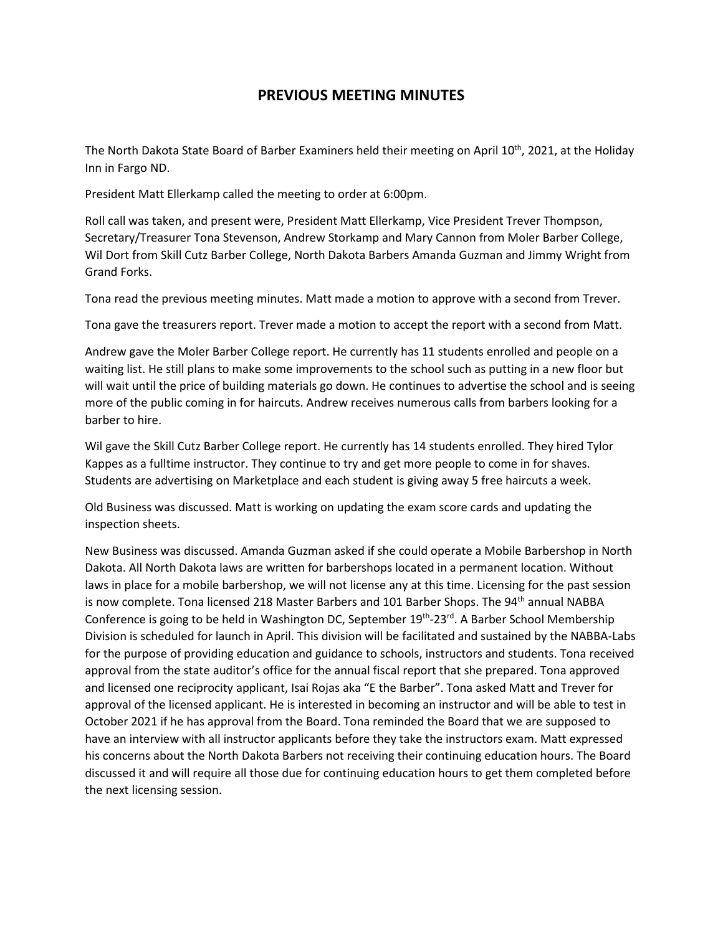## **PREVIOUS MEETING MINUTES**

The North Dakota State Board of Barber Examiners held their meeting on April 10th, 2021, at the Holiday Inn in Fargo ND.

President Matt Ellerkamp called the meeting to order at 6:00pm.

Roll call was taken, and present were, President Matt Ellerkamp, Vice President Trever Thompson, Secretary/Treasurer Tona Stevenson, Andrew Storkamp and Mary Cannon from Moler Barber College, Wil Dort from Skill Cutz Barber College, North Dakota Barbers Amanda Guzman and Jimmy Wright from Grand Forks.

Tona read the previous meeting minutes. Matt made a motion to approve with a second from Trever.

Tona gave the treasurers report. Trever made a motion to accept the report with a second from Matt.

Andrew gave the Moler Barber College report. He currently has 11 students enrolled and people on a waiting list. He still plans to make some improvements to the school such as putting in a new floor but will wait until the price of building materials go down. He continues to advertise the school and is seeing more of the public coming in for haircuts. Andrew receives numerous calls from barbers looking for a barber to hire.

Wil gave the Skill Cutz Barber College report. He currently has 14 students enrolled. They hired Tylor Kappes as a fulltime instructor. They continue to try and get more people to come in for shaves. Students are advertising on Marketplace and each student is giving away 5 free haircuts a week.

Old Business was discussed. Matt is working on updating the exam score cards and updating the inspection sheets.

New Business was discussed. Amanda Guzman asked if she could operate a Mobile Barbershop in North Dakota. All North Dakota laws are written for barbershops located in a permanent location. Without laws in place for a mobile barbershop, we will not license any at this time. Licensing for the past session is now complete. Tona licensed 218 Master Barbers and 101 Barber Shops. The 94<sup>th</sup> annual NABBA Conference is going to be held in Washington DC, September  $19^{th}$ -23<sup>rd</sup>. A Barber School Membership Division is scheduled for launch in April. This division will be facilitated and sustained by the NABBA-Labs for the purpose of providing education and guidance to schools, instructors and students. Tona received approval from the state auditor's office for the annual fiscal report that she prepared. Tona approved and licensed one reciprocity applicant, Isai Rojas aka "E the Barber". Tona asked Matt and Trever for approval of the licensed applicant. He is interested in becoming an instructor and will be able to test in October 2021 if he has approval from the Board. Tona reminded the Board that we are supposed to have an interview with all instructor applicants before they take the instructors exam. Matt expressed his concerns about the North Dakota Barbers not receiving their continuing education hours. The Board discussed it and will require all those due for continuing education hours to get them completed before the next licensing session.